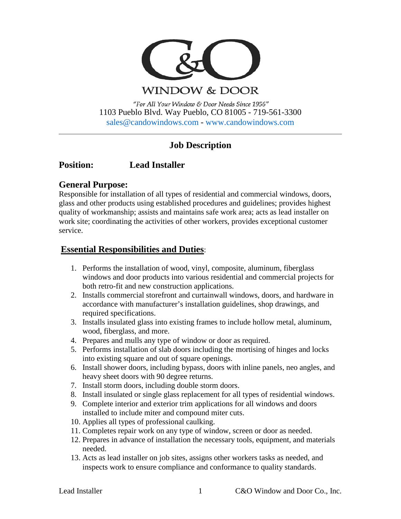

**WINDOW & DOOR** 

"For All Your Window & Door Needs Since 1956" 1103 Pueblo Blvd. Way Pueblo, CO 81005 - 719-561-3300 [sales@candowindows.com](mailto:sales@candowindows.com) - [www.candowindows.com](http://www.candowindows.com/)

# **Job Description**

## **Position: Lead Installer**

## **General Purpose:**

Responsible for installation of all types of residential and commercial windows, doors, glass and other products using established procedures and guidelines; provides highest quality of workmanship; assists and maintains safe work area; acts as lead installer on work site; coordinating the activities of other workers, provides exceptional customer service.

## **Essential Responsibilities and Duties**:

- 1. Performs the installation of wood, vinyl, composite, aluminum, fiberglass windows and door products into various residential and commercial projects for both retro-fit and new construction applications.
- 2. Installs commercial storefront and curtainwall windows, doors, and hardware in accordance with manufacturer's installation guidelines, shop drawings, and required specifications.
- 3. Installs insulated glass into existing frames to include hollow metal, aluminum, wood, fiberglass, and more.
- 4. Prepares and mulls any type of window or door as required.
- 5. Performs installation of slab doors including the mortising of hinges and locks into existing square and out of square openings.
- 6. Install shower doors, including bypass, doors with inline panels, neo angles, and heavy sheet doors with 90 degree returns.
- 7. Install storm doors, including double storm doors.
- 8. Install insulated or single glass replacement for all types of residential windows.
- 9. Complete interior and exterior trim applications for all windows and doors installed to include miter and compound miter cuts.
- 10. Applies all types of professional caulking.
- 11. Completes repair work on any type of window, screen or door as needed.
- 12. Prepares in advance of installation the necessary tools, equipment, and materials needed.
- 13. Acts as lead installer on job sites, assigns other workers tasks as needed, and inspects work to ensure compliance and conformance to quality standards.

Lead Installer 1 C&O Window and Door Co., Inc.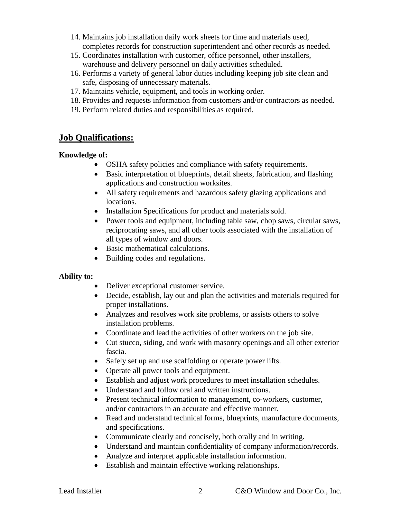- 14. Maintains job installation daily work sheets for time and materials used, completes records for construction superintendent and other records as needed.
- 15. Coordinates installation with customer, office personnel, other installers, warehouse and delivery personnel on daily activities scheduled.
- 16. Performs a variety of general labor duties including keeping job site clean and safe, disposing of unnecessary materials.
- 17. Maintains vehicle, equipment, and tools in working order.
- 18. Provides and requests information from customers and/or contractors as needed.
- 19. Perform related duties and responsibilities as required.

## **Job Qualifications:**

#### **Knowledge of:**

- OSHA safety policies and compliance with safety requirements.
- Basic interpretation of blueprints, detail sheets, fabrication, and flashing applications and construction worksites.
- All safety requirements and hazardous safety glazing applications and locations.
- Installation Specifications for product and materials sold.
- Power tools and equipment, including table saw, chop saws, circular saws, reciprocating saws, and all other tools associated with the installation of all types of window and doors.
- Basic mathematical calculations.
- Building codes and regulations.

#### **Ability to:**

- Deliver exceptional customer service.
- Decide, establish, lay out and plan the activities and materials required for proper installations.
- Analyzes and resolves work site problems, or assists others to solve installation problems.
- Coordinate and lead the activities of other workers on the job site.
- Cut stucco, siding, and work with masonry openings and all other exterior fascia.
- Safely set up and use scaffolding or operate power lifts.
- Operate all power tools and equipment.
- Establish and adjust work procedures to meet installation schedules.
- Understand and follow oral and written instructions.
- Present technical information to management, co-workers, customer, and/or contractors in an accurate and effective manner.
- Read and understand technical forms, blueprints, manufacture documents, and specifications.
- Communicate clearly and concisely, both orally and in writing.
- Understand and maintain confidentiality of company information/records.
- Analyze and interpret applicable installation information.
- Establish and maintain effective working relationships.